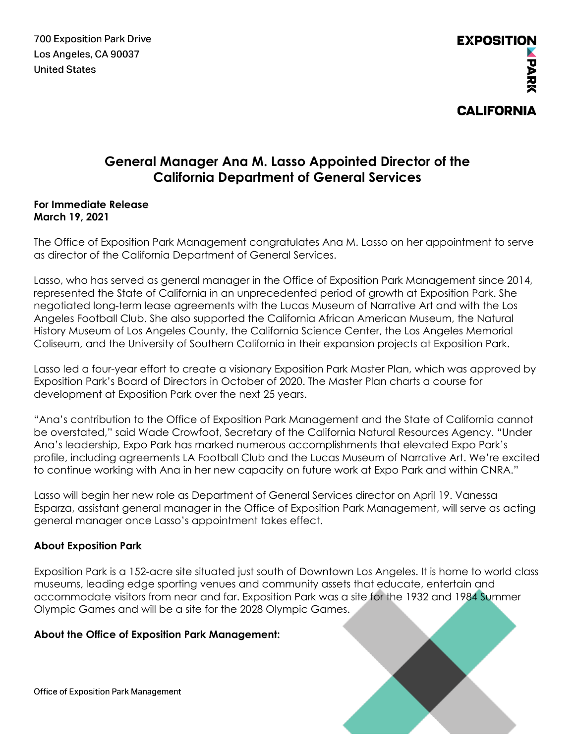**700 Exposition Park Drive** Los Angeles, CA 90037 **United States** 

# **General Manager Ana M. Lasso Appointed Director of the California Department of General Services**

#### **For Immediate Release March 19, 2021**

The Office of Exposition Park Management congratulates Ana M. Lasso on her appointment to serve as director of the California Department of General Services.

Lasso, who has served as general manager in the Office of Exposition Park Management since 2014, represented the State of California in an unprecedented period of growth at Exposition Park. She negotiated long-term lease agreements with the Lucas Museum of Narrative Art and with the Los Angeles Football Club. She also supported the California African American Museum, the Natural History Museum of Los Angeles County, the California Science Center, the Los Angeles Memorial Coliseum, and the University of Southern California in their expansion projects at Exposition Park.

Lasso led a four-year effort to create a visionary Exposition Park Master Plan, which was approved by Exposition Park's Board of Directors in October of 2020. The Master Plan charts a course for development at Exposition Park over the next 25 years.

"Ana's contribution to the Office of Exposition Park Management and the State of California cannot be overstated," said Wade Crowfoot, Secretary of the California Natural Resources Agency. "Under Ana's leadership, Expo Park has marked numerous accomplishments that elevated Expo Park's profile, including agreements LA Football Club and the Lucas Museum of Narrative Art. We're excited to continue working with Ana in her new capacity on future work at Expo Park and within CNRA."

Lasso will begin her new role as Department of General Services director on April 19. Vanessa Esparza, assistant general manager in the Office of Exposition Park Management, will serve as acting general manager once Lasso's appointment takes effect.

## **About Exposition Park**

Exposition Park is a 152-acre site situated just south of Downtown Los Angeles. It is home to world class museums, leading edge sporting venues and community assets that educate, entertain and accommodate visitors from near and far. Exposition Park was a site for the 1932 and 1984 Summer Olympic Games and will be a site for the 2028 Olympic Games.

## **About the Office of Exposition Park Management:**

**Office of Exposition Park Management**